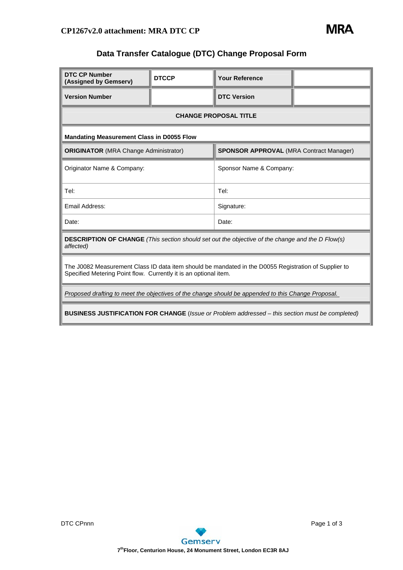

## **Data Transfer Catalogue (DTC) Change Proposal Form**

| <b>DTC CP Number</b><br>(Assigned by Gemserv)                                                                                                                            | <b>DTCCP</b> | <b>Your Reference</b>                          |  |  |  |
|--------------------------------------------------------------------------------------------------------------------------------------------------------------------------|--------------|------------------------------------------------|--|--|--|
| <b>Version Number</b>                                                                                                                                                    |              | <b>DTC Version</b>                             |  |  |  |
| <b>CHANGE PROPOSAL TITLE</b>                                                                                                                                             |              |                                                |  |  |  |
| <b>Mandating Measurement Class in D0055 Flow</b>                                                                                                                         |              |                                                |  |  |  |
| <b>ORIGINATOR</b> (MRA Change Administrator)                                                                                                                             |              | <b>SPONSOR APPROVAL (MRA Contract Manager)</b> |  |  |  |
| Originator Name & Company:                                                                                                                                               |              | Sponsor Name & Company:                        |  |  |  |
| Tel:                                                                                                                                                                     |              | Tel:                                           |  |  |  |
| Email Address:                                                                                                                                                           |              | Signature:                                     |  |  |  |
| Date:                                                                                                                                                                    |              | Date:                                          |  |  |  |
| <b>DESCRIPTION OF CHANGE</b> (This section should set out the objective of the change and the D Flow(s)<br>affected)                                                     |              |                                                |  |  |  |
| The J0082 Measurement Class ID data item should be mandated in the D0055 Registration of Supplier to<br>Specified Metering Point flow. Currently it is an optional item. |              |                                                |  |  |  |
| Proposed drafting to meet the objectives of the change should be appended to this Change Proposal.                                                                       |              |                                                |  |  |  |
| <b>BUSINESS JUSTIFICATION FOR CHANGE</b> (Issue or Problem addressed – this section must be completed)                                                                   |              |                                                |  |  |  |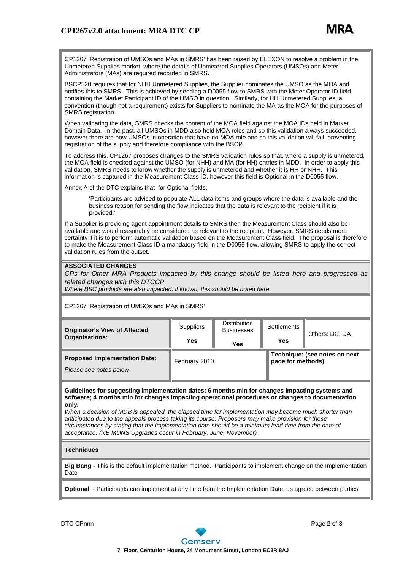

CP1267 'Registration of UMSOs and MAs in SMRS' has been raised by ELEXON to resolve a problem in the Unmetered Supplies market, where the details of Unmetered Supplies Operators (UMSOs) and Meter Administrators (MAs) are required recorded in SMRS.

BSCP520 requires that for NHH Unmetered Supplies, the Supplier nominates the UMSO as the MOA and notifies this to SMRS. This is achieved by sending a D0055 flow to SMRS with the Meter Operator ID field containing the Market Participant ID of the UMSO in question. Similarly, for HH Unmetered Supplies, a convention (though not a requirement) exists for Suppliers to nominate the MA as the MOA for the purposes of SMRS registration.

When validating the data, SMRS checks the content of the MOA field against the MOA IDs held in Market Domain Data. In the past, all UMSOs in MDD also held MOA roles and so this validation always succeeded, however there are now UMSOs in operation that have no MOA role and so this validation will fail, preventing registration of the supply and therefore compliance with the BSCP.

To address this, CP1267 proposes changes to the SMRS validation rules so that, where a supply is unmetered, the MOA field is checked against the UMSO (for NHH) and MA (for HH) entries in MDD. In order to apply this validation, SMRS needs to know whether the supply is unmetered and whether it is HH or NHH. This information is captured in the Measurement Class ID, however this field is Optional in the D0055 flow.

Annex A of the DTC explains that for Optional fields,

 'Participants are advised to populate ALL data items and groups where the data is available and the business reason for sending the flow indicates that the data is relevant to the recipient if it is provided.'

If a Supplier is providing agent appointment details to SMRS then the Measurement Class should also be available and would reasonably be considered as relevant to the recipient. However, SMRS needs more certainty if it is to perform automatic validation based on the Measurement Class field. The proposal is therefore to make the Measurement Class ID a mandatory field in the D0055 flow, allowing SMRS to apply the correct validation rules from the outset.

## **ASSOCIATED CHANGES**

*CPs for Other MRA Products impacted by this change should be listed here and progressed as related changes with this DTCCP* 

*Where BSC products are also impacted, if known, this should be noted here.*

CP1267 'Registration of UMSOs and MAs in SMRS'

| <b>Originator's View of Affected</b><br><b>Organisations:</b>  | <b>Suppliers</b><br>Yes | <b>Distribution</b><br><b>Businesses</b><br>Yes | <b>Settlements</b><br>Yes                          | Others: DC, DA |
|----------------------------------------------------------------|-------------------------|-------------------------------------------------|----------------------------------------------------|----------------|
| <b>Proposed Implementation Date:</b><br>Please see notes below | February 2010           |                                                 | Technique: (see notes on next<br>page for methods) |                |

**Guidelines for suggesting implementation dates: 6 months min for changes impacting systems and software; 4 months min for changes impacting operational procedures or changes to documentation only***.*

*When a decision of MDB is appealed, the elapsed time for implementation may become much shorter than anticipated due to the appeals process taking its course. Proposers may make provision for these circumstances by stating that the implementation date should be a minimum lead-time from the date of acceptance. (NB MDNS Upgrades occur in February, June, November)*

## **Techniques**

**Big Bang** - This is the default implementation method. Participants to implement change on the Implementation **Date** 

**Optional** - Participants can implement at any time from the Implementation Date, as agreed between parties